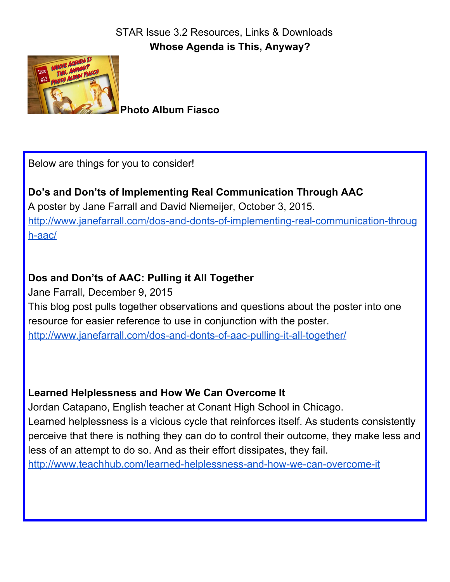

**Photo Album Fiasco**

Below are things for you to consider!

**Do's and Don'ts of Implementing Real Communication Through AAC** A poster by Jane Farrall and David Niemeijer, October 3, 2015. [http://www.janefarrall.com/dos-and-donts-of-implementing-real-communication-throug](http://www.janefarrall.com/dos-and-donts-of-implementing-real-communication-through-aac/) [h-aac/](http://www.janefarrall.com/dos-and-donts-of-implementing-real-communication-through-aac/)

## **Dos and Don'ts of AAC: Pulling it All Together**

Jane Farrall, December 9, 2015 This blog post pulls together observations and questions about the poster into one resource for easier reference to use in conjunction with the poster. <http://www.janefarrall.com/dos-and-donts-of-aac-pulling-it-all-together/>

## **Learned Helplessness and How We Can Overcome It**

Jordan Catapano, English teacher at Conant High School in Chicago. Learned helplessness is a vicious cycle that reinforces itself. As students consistently perceive that there is nothing they can do to control their outcome, they make less and less of an attempt to do so. And as their effort dissipates, they fail. <http://www.teachhub.com/learned-helplessness-and-how-we-can-overcome-it>